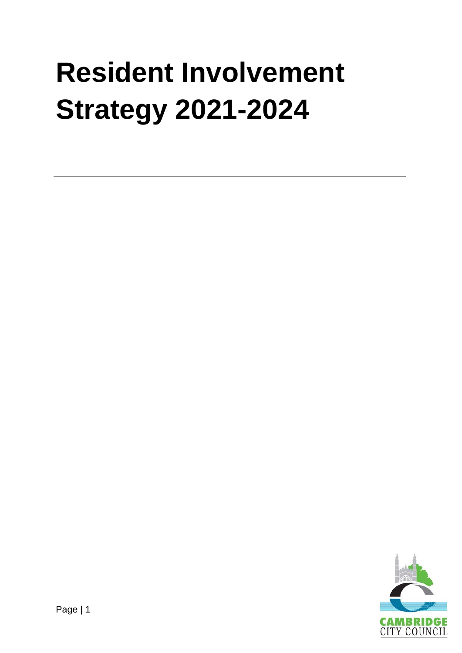# **Resident Involvement Strategy 2021-2024**

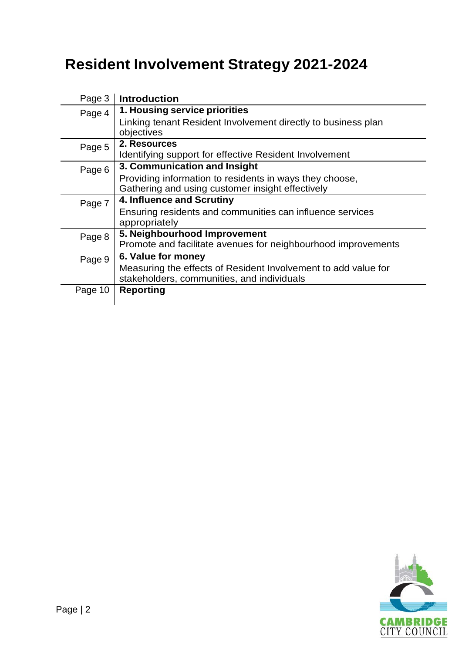#### **Resident Involvement Strategy 2021-2024**

| Page 3  | <b>Introduction</b>                                                                                          |
|---------|--------------------------------------------------------------------------------------------------------------|
| Page 4  | 1. Housing service priorities                                                                                |
|         | Linking tenant Resident Involvement directly to business plan<br>objectives                                  |
| Page 5  | 2. Resources                                                                                                 |
|         | Identifying support for effective Resident Involvement                                                       |
| Page 6  | 3. Communication and Insight                                                                                 |
|         | Providing information to residents in ways they choose,                                                      |
|         | Gathering and using customer insight effectively                                                             |
| Page 7  | 4. Influence and Scrutiny                                                                                    |
|         | Ensuring residents and communities can influence services                                                    |
|         | appropriately                                                                                                |
| Page 8  | 5. Neighbourhood Improvement                                                                                 |
|         | Promote and facilitate avenues for neighbourhood improvements                                                |
| Page 9  | 6. Value for money                                                                                           |
|         | Measuring the effects of Resident Involvement to add value for<br>stakeholders, communities, and individuals |
| Page 10 | <b>Reporting</b>                                                                                             |

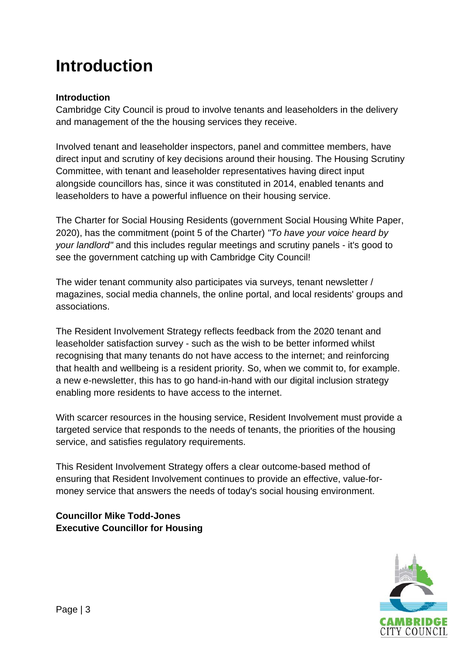#### **Introduction**

#### **Introduction**

Cambridge City Council is proud to involve tenants and leaseholders in the delivery and management of the the housing services they receive.

Involved tenant and leaseholder inspectors, panel and committee members, have direct input and scrutiny of key decisions around their housing. The Housing Scrutiny Committee, with tenant and leaseholder representatives having direct input alongside councillors has, since it was constituted in 2014, enabled tenants and leaseholders to have a powerful influence on their housing service.

The Charter for Social Housing Residents (government Social Housing White Paper, 2020), has the commitment (point 5 of the Charter) *"To have your voice heard by your landlord"* and this includes regular meetings and scrutiny panels - it's good to see the government catching up with Cambridge City Council!

The wider tenant community also participates via surveys, tenant newsletter / magazines, social media channels, the online portal, and local residents' groups and associations.

The Resident Involvement Strategy reflects feedback from the 2020 tenant and leaseholder satisfaction survey - such as the wish to be better informed whilst recognising that many tenants do not have access to the internet; and reinforcing that health and wellbeing is a resident priority. So, when we commit to, for example. a new e-newsletter, this has to go hand-in-hand with our digital inclusion strategy enabling more residents to have access to the internet.

With scarcer resources in the housing service, Resident Involvement must provide a targeted service that responds to the needs of tenants, the priorities of the housing service, and satisfies regulatory requirements.

This Resident Involvement Strategy offers a clear outcome-based method of ensuring that Resident Involvement continues to provide an effective, value-formoney service that answers the needs of today's social housing environment.

#### **Councillor Mike Todd-Jones Executive Councillor for Housing**

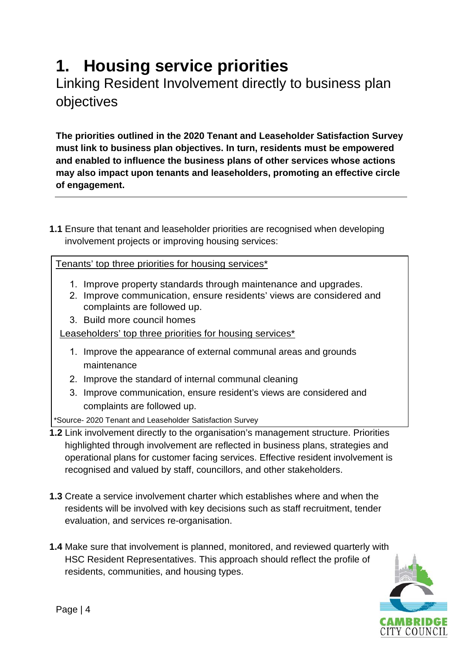## **1. Housing service priorities**

Linking Resident Involvement directly to business plan objectives

**The priorities outlined in the 2020 Tenant and Leaseholder Satisfaction Survey must link to business plan objectives. In turn, residents must be empowered and enabled to influence the business plans of other services whose actions may also impact upon tenants and leaseholders, promoting an effective circle of engagement.**

**1.1** Ensure that tenant and leaseholder priorities are recognised when developing involvement projects or improving housing services:

Tenants' top three priorities for housing services\*

- 1. Improve property standards through maintenance and upgrades.
- 2. Improve communication, ensure residents' views are considered and complaints are followed up.
- 3. Build more council homes

Leaseholders' top three priorities for housing services\*

- 1. Improve the appearance of external communal areas and grounds maintenance
- 2. Improve the standard of internal communal cleaning
- 3. Improve communication, ensure resident's views are considered and complaints are followed up.

\*Source- 2020 Tenant and Leaseholder Satisfaction Survey

- **1.2** Link involvement directly to the organisation's management structure. Priorities highlighted through involvement are reflected in business plans, strategies and operational plans for customer facing services. Effective resident involvement is recognised and valued by staff, councillors, and other stakeholders.
- **1.3** Create a service involvement charter which establishes where and when the residents will be involved with key decisions such as staff recruitment, tender evaluation, and services re-organisation.
- **1.4** Make sure that involvement is planned, monitored, and reviewed quarterly with HSC Resident Representatives. This approach should reflect the profile of residents, communities, and housing types.

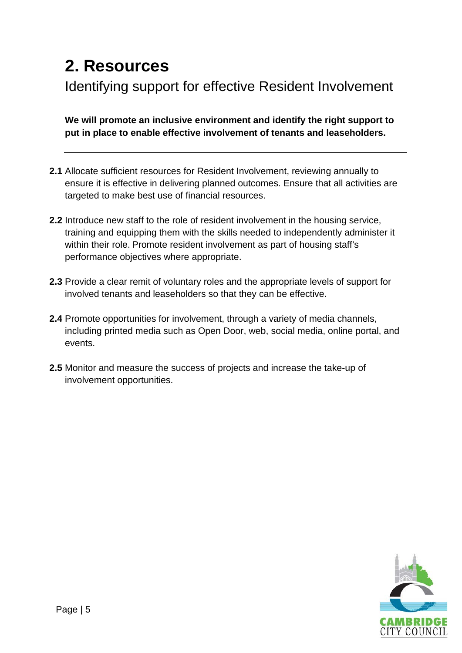#### **2. Resources**

Identifying support for effective Resident Involvement

**We will promote an inclusive environment and identify the right support to put in place to enable effective involvement of tenants and leaseholders.** 

- **2.1** Allocate sufficient resources for Resident Involvement, reviewing annually to ensure it is effective in delivering planned outcomes. Ensure that all activities are targeted to make best use of financial resources.
- **2.2** Introduce new staff to the role of resident involvement in the housing service, training and equipping them with the skills needed to independently administer it within their role. Promote resident involvement as part of housing staff's performance objectives where appropriate.
- **2.3** Provide a clear remit of voluntary roles and the appropriate levels of support for involved tenants and leaseholders so that they can be effective.
- **2.4** Promote opportunities for involvement, through a variety of media channels, including printed media such as Open Door, web, social media, online portal, and events.
- **2.5** Monitor and measure the success of projects and increase the take-up of involvement opportunities.

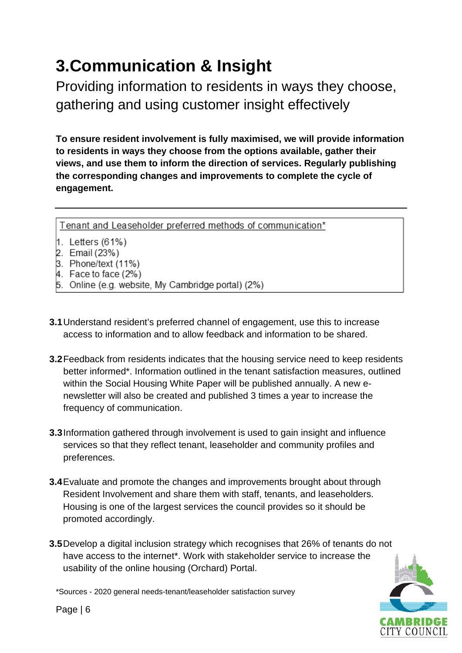## **3.Communication & Insight**

Providing information to residents in ways they choose, gathering and using customer insight effectively

**To ensure resident involvement is fully maximised, we will provide information to residents in ways they choose from the options available, gather their views, and use them to inform the direction of services. Regularly publishing the corresponding changes and improvements to complete the cycle of engagement.**

Tenant and Leaseholder preferred methods of communication\*

- 1. Letters (61%)
- 2. Email (23%)
- 3. Phone/text (11%)
- 4. Face to face (2%)
- 5. Online (e.g. website, My Cambridge portal) (2%)
- **3.1**Understand resident's preferred channel of engagement, use this to increase access to information and to allow feedback and information to be shared.
- **3.2**Feedback from residents indicates that the housing service need to keep residents better informed\*. Information outlined in the tenant satisfaction measures, outlined within the Social Housing White Paper will be published annually. A new enewsletter will also be created and published 3 times a year to increase the frequency of communication.
- **3.3**Information gathered through involvement is used to gain insight and influence services so that they reflect tenant, leaseholder and community profiles and preferences.
- **3.4**Evaluate and promote the changes and improvements brought about through Resident Involvement and share them with staff, tenants, and leaseholders. Housing is one of the largest services the council provides so it should be promoted accordingly.
- **3.5**Develop a digital inclusion strategy which recognises that 26% of tenants do not have access to the internet\*. Work with stakeholder service to increase the usability of the online housing (Orchard) Portal.

\*Sources - 2020 general needs-tenant/leaseholder satisfaction survey



Page | 6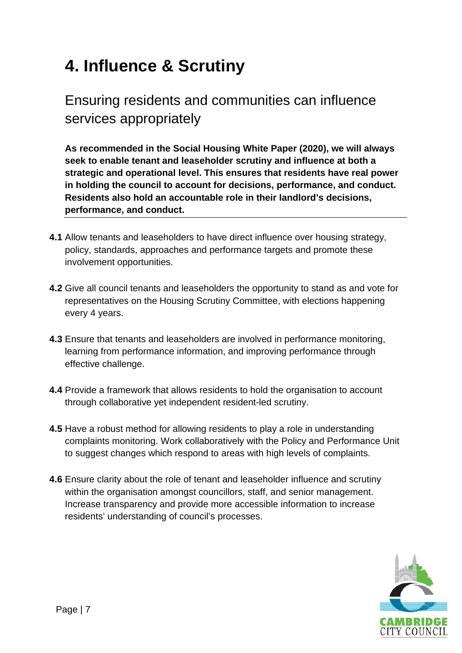#### **4. Influence & Scrutiny**

#### Ensuring residents and communities can influence services appropriately

**As recommended in the Social Housing White Paper (2020), we will always seek to enable tenant and leaseholder scrutiny and influence at both a strategic and operational level. This ensures that residents have real power in holding the council to account for decisions, performance, and conduct. Residents also hold an accountable role in their landlord's decisions, performance, and conduct.** 

- **4.1** Allow tenants and leaseholders to have direct influence over housing strategy, policy, standards, approaches and performance targets and promote these involvement opportunities.
- **4.2** Give all council tenants and leaseholders the opportunity to stand as and vote for representatives on the Housing Scrutiny Committee, with elections happening every 4 years.
- **4.3** Ensure that tenants and leaseholders are involved in performance monitoring, learning from performance information, and improving performance through effective challenge.
- **4.4** Provide a framework that allows residents to hold the organisation to account through collaborative yet independent resident-led scrutiny.
- **4.5** Have a robust method for allowing residents to play a role in understanding complaints monitoring. Work collaboratively with the Policy and Performance Unit to suggest changes which respond to areas with high levels of complaints.
- **4.6** Ensure clarity about the role of tenant and leaseholder influence and scrutiny within the organisation amongst councillors, staff, and senior management. Increase transparency and provide more accessible information to increase residents' understanding of council's processes.

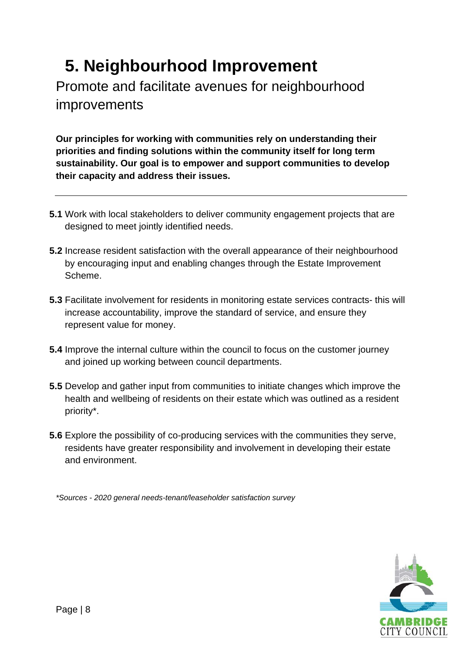### **5. Neighbourhood Improvement**

Promote and facilitate avenues for neighbourhood improvements

**Our principles for working with communities rely on understanding their priorities and finding solutions within the community itself for long term sustainability. Our goal is to empower and support communities to develop their capacity and address their issues.**

- **5.1** Work with local stakeholders to deliver community engagement projects that are designed to meet jointly identified needs.
- **5.2** Increase resident satisfaction with the overall appearance of their neighbourhood by encouraging input and enabling changes through the Estate Improvement Scheme.
- **5.3** Facilitate involvement for residents in monitoring estate services contracts- this will increase accountability, improve the standard of service, and ensure they represent value for money.
- **5.4** Improve the internal culture within the council to focus on the customer journey and joined up working between council departments.
- **5.5** Develop and gather input from communities to initiate changes which improve the health and wellbeing of residents on their estate which was outlined as a resident priority\*.
- **5.6** Explore the possibility of co-producing services with the communities they serve, residents have greater responsibility and involvement in developing their estate and environment.

*\*Sources - 2020 general needs-tenant/leaseholder satisfaction survey*

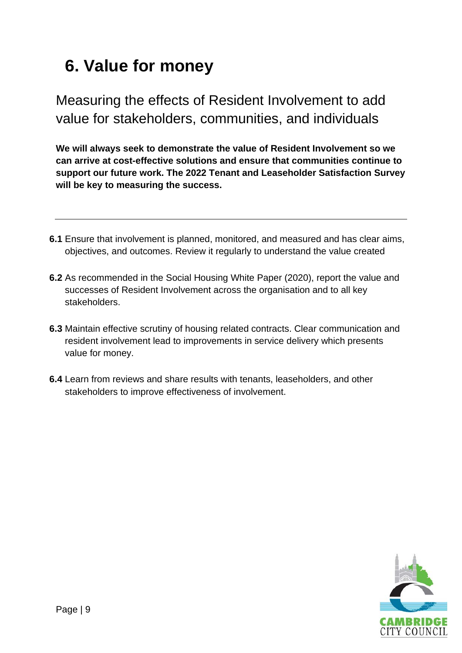#### **6. Value for money**

Measuring the effects of Resident Involvement to add value for stakeholders, communities, and individuals

**We will always seek to demonstrate the value of Resident Involvement so we can arrive at cost-effective solutions and ensure that communities continue to support our future work. The 2022 Tenant and Leaseholder Satisfaction Survey will be key to measuring the success.** 

- **6.1** Ensure that involvement is planned, monitored, and measured and has clear aims, objectives, and outcomes. Review it regularly to understand the value created
- **6.2** As recommended in the Social Housing White Paper (2020), report the value and successes of Resident Involvement across the organisation and to all key stakeholders.
- **6.3** Maintain effective scrutiny of housing related contracts. Clear communication and resident involvement lead to improvements in service delivery which presents value for money.
- **6.4** Learn from reviews and share results with tenants, leaseholders, and other stakeholders to improve effectiveness of involvement.

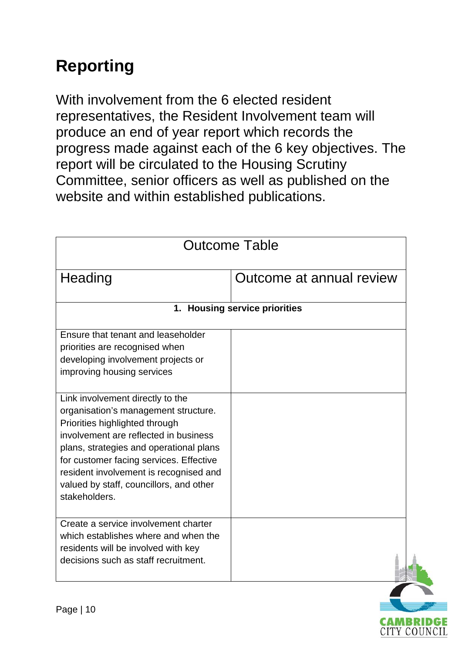# **Reporting**

With involvement from the 6 elected resident representatives, the Resident Involvement team will produce an end of year report which records the progress made against each of the 6 key objectives. The report will be circulated to the Housing Scrutiny Committee, senior officers as well as published on the website and within established publications.

| <b>Outcome Table</b>                                                                                                                                                                                                                                                                                                                            |                          |  |  |  |
|-------------------------------------------------------------------------------------------------------------------------------------------------------------------------------------------------------------------------------------------------------------------------------------------------------------------------------------------------|--------------------------|--|--|--|
| Heading                                                                                                                                                                                                                                                                                                                                         | Outcome at annual review |  |  |  |
| 1. Housing service priorities                                                                                                                                                                                                                                                                                                                   |                          |  |  |  |
| Ensure that tenant and leaseholder<br>priorities are recognised when<br>developing involvement projects or<br>improving housing services                                                                                                                                                                                                        |                          |  |  |  |
| Link involvement directly to the<br>organisation's management structure.<br>Priorities highlighted through<br>involvement are reflected in business<br>plans, strategies and operational plans<br>for customer facing services. Effective<br>resident involvement is recognised and<br>valued by staff, councillors, and other<br>stakeholders. |                          |  |  |  |
| Create a service involvement charter<br>which establishes where and when the<br>residents will be involved with key<br>decisions such as staff recruitment.                                                                                                                                                                                     |                          |  |  |  |

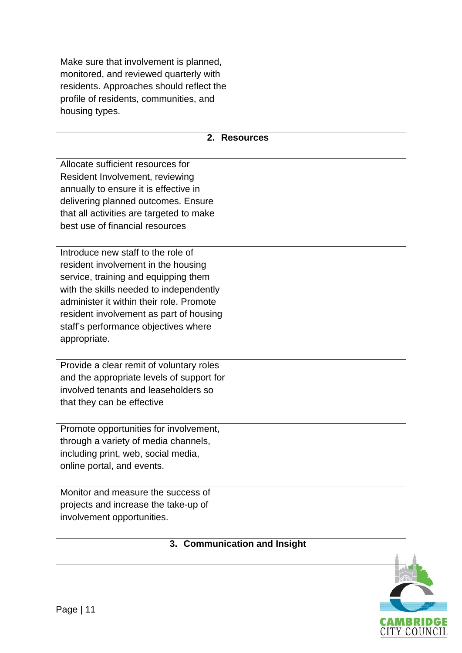| 3. Communication and Insight                                                                                                                                                                                                                                                                                |  |  |  |  |
|-------------------------------------------------------------------------------------------------------------------------------------------------------------------------------------------------------------------------------------------------------------------------------------------------------------|--|--|--|--|
| Monitor and measure the success of<br>projects and increase the take-up of<br>involvement opportunities.                                                                                                                                                                                                    |  |  |  |  |
| Promote opportunities for involvement,<br>through a variety of media channels,<br>including print, web, social media,<br>online portal, and events.                                                                                                                                                         |  |  |  |  |
| Provide a clear remit of voluntary roles<br>and the appropriate levels of support for<br>involved tenants and leaseholders so<br>that they can be effective                                                                                                                                                 |  |  |  |  |
| Introduce new staff to the role of<br>resident involvement in the housing<br>service, training and equipping them<br>with the skills needed to independently<br>administer it within their role. Promote<br>resident involvement as part of housing<br>staff's performance objectives where<br>appropriate. |  |  |  |  |
| Allocate sufficient resources for<br>Resident Involvement, reviewing<br>annually to ensure it is effective in<br>delivering planned outcomes. Ensure<br>that all activities are targeted to make<br>best use of financial resources                                                                         |  |  |  |  |
| 2. Resources                                                                                                                                                                                                                                                                                                |  |  |  |  |
| profile of residents, communities, and<br>housing types.                                                                                                                                                                                                                                                    |  |  |  |  |
| Make sure that involvement is planned,<br>monitored, and reviewed quarterly with<br>residents. Approaches should reflect the                                                                                                                                                                                |  |  |  |  |

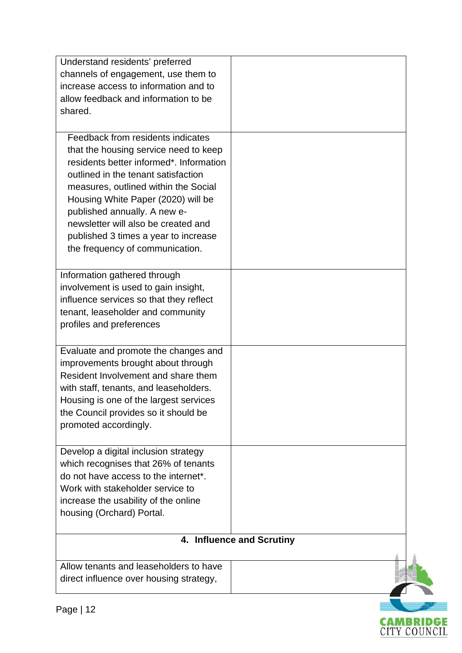| Understand residents' preferred         |                           |
|-----------------------------------------|---------------------------|
| channels of engagement, use them to     |                           |
| increase access to information and to   |                           |
| allow feedback and information to be    |                           |
| shared.                                 |                           |
|                                         |                           |
| Feedback from residents indicates       |                           |
| that the housing service need to keep   |                           |
| residents better informed*. Information |                           |
| outlined in the tenant satisfaction     |                           |
| measures, outlined within the Social    |                           |
| Housing White Paper (2020) will be      |                           |
| published annually. A new e-            |                           |
| newsletter will also be created and     |                           |
| published 3 times a year to increase    |                           |
| the frequency of communication.         |                           |
|                                         |                           |
| Information gathered through            |                           |
| involvement is used to gain insight,    |                           |
| influence services so that they reflect |                           |
| tenant, leaseholder and community       |                           |
| profiles and preferences                |                           |
| Evaluate and promote the changes and    |                           |
| improvements brought about through      |                           |
| Resident Involvement and share them     |                           |
| with staff, tenants, and leaseholders.  |                           |
| Housing is one of the largest services  |                           |
| the Council provides so it should be    |                           |
| promoted accordingly.                   |                           |
|                                         |                           |
| Develop a digital inclusion strategy    |                           |
| which recognises that 26% of tenants    |                           |
| do not have access to the internet*.    |                           |
| Work with stakeholder service to        |                           |
| increase the usability of the online    |                           |
| housing (Orchard) Portal.               |                           |
|                                         |                           |
|                                         | 4. Influence and Scrutiny |
| Allow tenants and leaseholders to have  |                           |
| direct influence over housing strategy, |                           |
|                                         |                           |

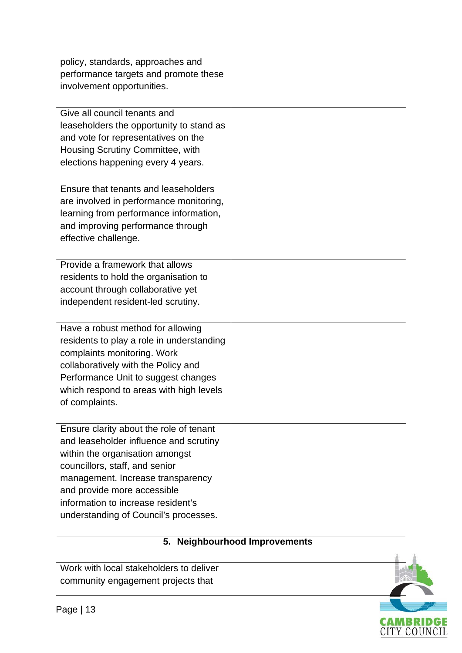| policy, standards, approaches and<br>performance targets and promote these<br>involvement opportunities.<br>Give all council tenants and                                                                                                                                                                  |  |  |
|-----------------------------------------------------------------------------------------------------------------------------------------------------------------------------------------------------------------------------------------------------------------------------------------------------------|--|--|
| leaseholders the opportunity to stand as<br>and vote for representatives on the<br>Housing Scrutiny Committee, with<br>elections happening every 4 years.                                                                                                                                                 |  |  |
| Ensure that tenants and leaseholders<br>are involved in performance monitoring,<br>learning from performance information,<br>and improving performance through<br>effective challenge.                                                                                                                    |  |  |
| Provide a framework that allows<br>residents to hold the organisation to<br>account through collaborative yet<br>independent resident-led scrutiny.                                                                                                                                                       |  |  |
| Have a robust method for allowing<br>residents to play a role in understanding<br>complaints monitoring. Work<br>collaboratively with the Policy and<br>Performance Unit to suggest changes<br>which respond to areas with high levels<br>of complaints.                                                  |  |  |
| Ensure clarity about the role of tenant<br>and leaseholder influence and scrutiny<br>within the organisation amongst<br>councillors, staff, and senior<br>management. Increase transparency<br>and provide more accessible<br>information to increase resident's<br>understanding of Council's processes. |  |  |
| <b>Neighbourhood Improvements</b><br>5.                                                                                                                                                                                                                                                                   |  |  |
| Work with local stakeholders to deliver<br>community engagement projects that                                                                                                                                                                                                                             |  |  |

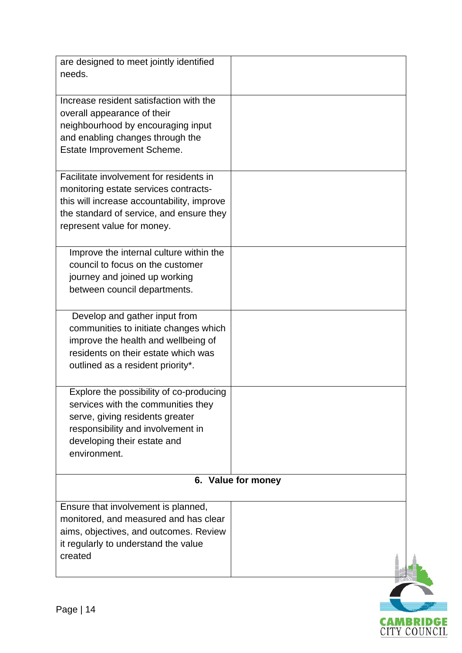| are designed to meet jointly identified<br>needs.                                                                                                                                                        |                    |
|----------------------------------------------------------------------------------------------------------------------------------------------------------------------------------------------------------|--------------------|
| Increase resident satisfaction with the<br>overall appearance of their<br>neighbourhood by encouraging input<br>and enabling changes through the<br>Estate Improvement Scheme.                           |                    |
| Facilitate involvement for residents in<br>monitoring estate services contracts-<br>this will increase accountability, improve<br>the standard of service, and ensure they<br>represent value for money. |                    |
| Improve the internal culture within the<br>council to focus on the customer<br>journey and joined up working<br>between council departments.                                                             |                    |
| Develop and gather input from<br>communities to initiate changes which<br>improve the health and wellbeing of<br>residents on their estate which was<br>outlined as a resident priority*.                |                    |
| Explore the possibility of co-producing<br>services with the communities they<br>serve, giving residents greater<br>responsibility and involvement in<br>developing their estate and<br>environment.     |                    |
|                                                                                                                                                                                                          | 6. Value for money |
| Ensure that involvement is planned,<br>monitored, and measured and has clear<br>aims, objectives, and outcomes. Review<br>it regularly to understand the value<br>created                                |                    |
|                                                                                                                                                                                                          |                    |